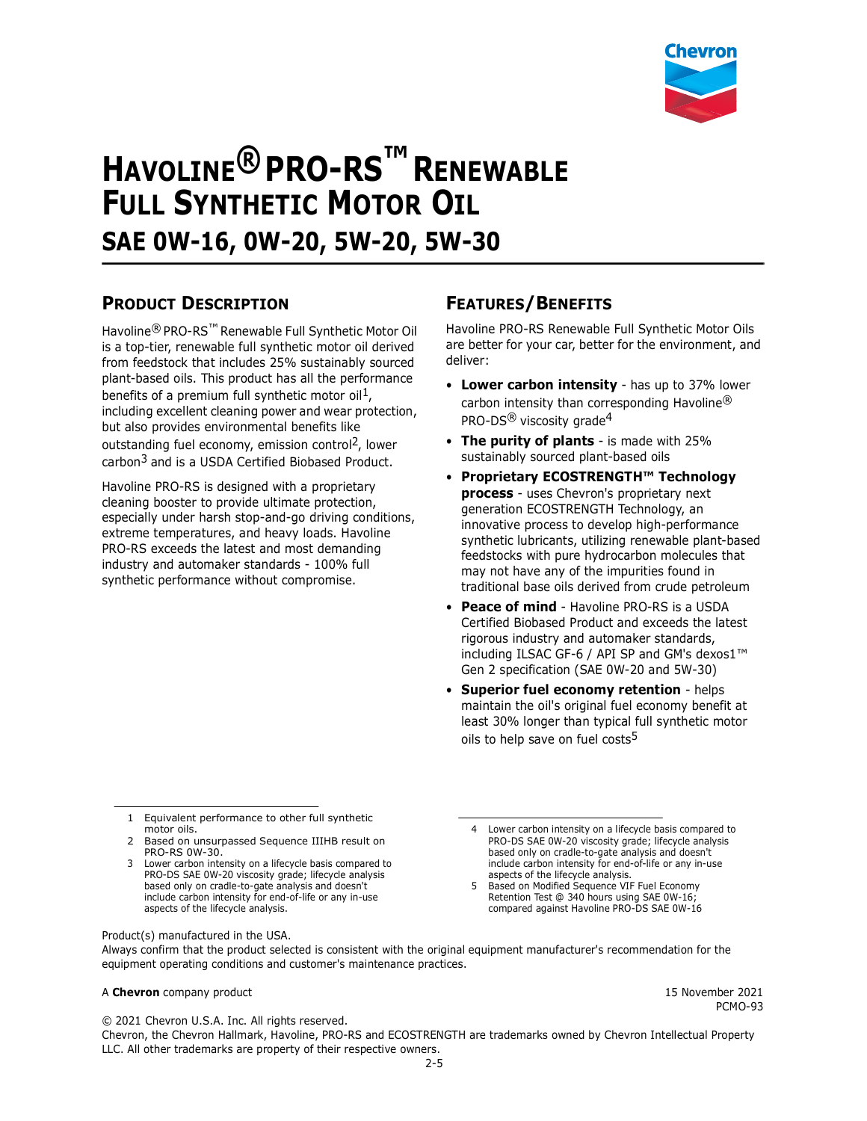

# **HAVOLINE® PRO-RS™ RENEWABLE FULL SYNTHETIC MOTOR OIL SAE 0W-16, 0W-20, 5W-20, 5W-30**

# **PRODUCT DESCRIPTION**

Havoline® PRO-RS™ Renewable Full Synthetic Motor Oil is a top-tier, renewable full synthetic motor oil derived from feedstock that includes 25% sustainably sourced plant-based oils. This product has all the performance benefits of a premium full synthetic motor oil<sup>1</sup>, including excellent cleaning power and wear protection, but also provides environmental benefits like outstanding fuel economy, emission control<sup>2</sup>, lower carbon3 and is a USDA Certified Biobased Product.

Havoline PRO-RS is designed with a proprietary cleaning booster to provide ultimate protection, especially under harsh stop-and-go driving conditions, extreme temperatures, and heavy loads. Havoline PRO-RS exceeds the latest and most demanding industry and automaker standards - 100% full synthetic performance without compromise.

# **FEATURES/BENEFITS**

Havoline PRO-RS Renewable Full Synthetic Motor Oils are better for your car, better for the environment, and deliver:

- **Lower carbon intensity** has up to 37% lower carbon intensity than corresponding Havoline® PRO-DS<sup>®</sup> viscosity grade<sup>4</sup>
- **The purity of plants** is made with 25% sustainably sourced plant-based oils
- **Proprietary ECOSTRENGTH™ Technology process** - uses Chevron's proprietary next generation ECOSTRENGTH Technology, an innovative process to develop high-performance synthetic lubricants, utilizing renewable plant-based feedstocks with pure hydrocarbon molecules that may not have any of the impurities found in traditional base oils derived from crude petroleum
- **Peace of mind** Havoline PRO-RS is a USDA Certified Biobased Product and exceeds the latest rigorous industry and automaker standards, including ILSAC GF-6 / API SP and GM's dexos1™ Gen 2 specification (SAE 0W-20 and 5W-30)
- **Superior fuel economy retention**  helps maintain the oil's original fuel economy benefit at least 30% longer than typical full synthetic motor oils to help save on fuel costs<sup>5</sup>

1 Equivalent performance to other full synthetic motor oils.

- 2 Based on unsurpassed Sequence IIIHB result on PRO-RS 0W-30.
- 3 Lower carbon intensity on a lifecycle basis compared to PRO-DS SAE 0W-20 viscosity grade; lifecycle analysis based only on cradle-to-gate analysis and doesn't include carbon intensity for end-of-life or any in-use aspects of the lifecycle analysis.

5 Based on Modified Sequence VIF Fuel Economy Retention Test @ 340 hours using SAE 0W-16; compared against Havoline PRO-DS SAE 0W-16

Product(s) manufactured in the USA.

Always confirm that the product selected is consistent with the original equipment manufacturer's recommendation for the equipment operating conditions and customer's maintenance practices.

#### A **Chevron** company product 15 November 2021

PCMO-93

© 2021 Chevron U.S.A. Inc. All rights reserved.

Chevron, the Chevron Hallmark, Havoline, PRO-RS and ECOSTRENGTH are trademarks owned by Chevron Intellectual Property LLC. All other trademarks are property of their respective owners.

<sup>4</sup> Lower carbon intensity on a lifecycle basis compared to PRO-DS SAE 0W-20 viscosity grade; lifecycle analysis based only on cradle-to-gate analysis and doesn't include carbon intensity for end-of-life or any in-use aspects of the lifecycle analysis.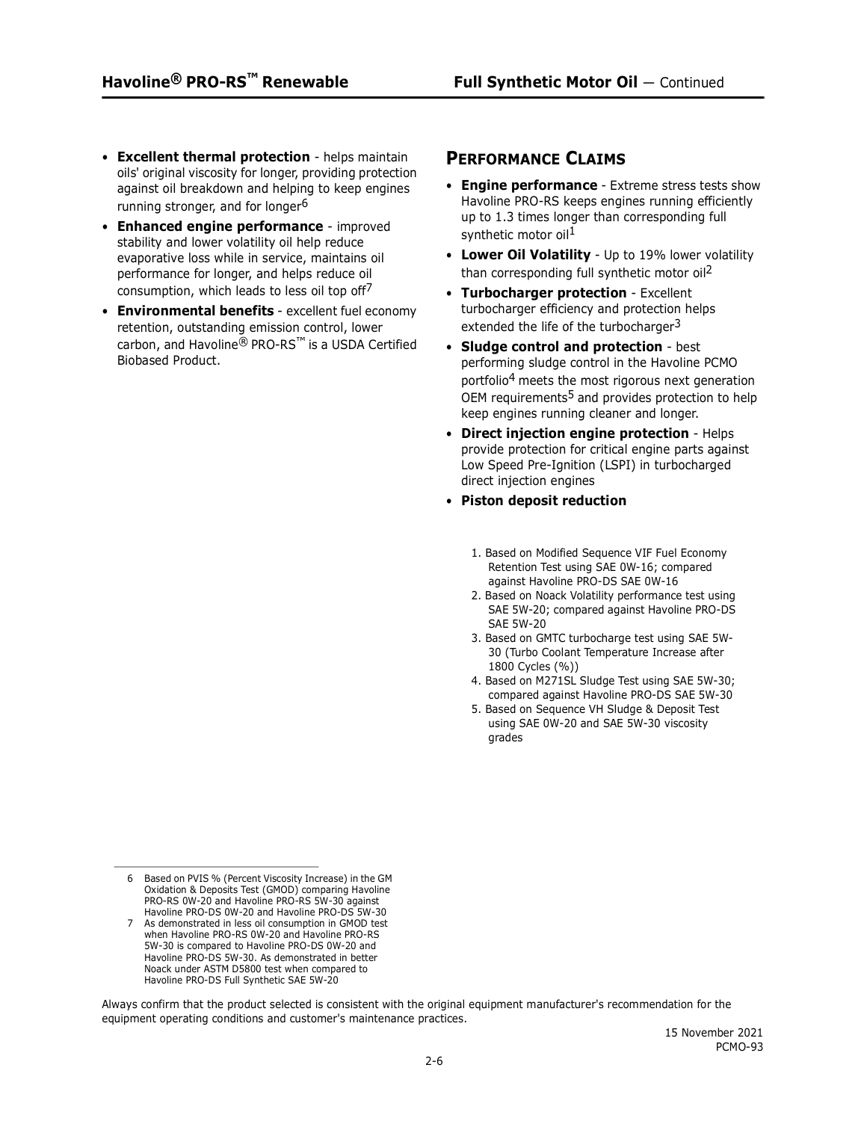- **Excellent thermal protection** helps maintain oils' original viscosity for longer, providing protection against oil breakdown and helping to keep engines running stronger, and for longer<sup>6</sup>
- **Enhanced engine performance** improved stability and lower volatility oil help reduce evaporative loss while in service, maintains oil performance for longer, and helps reduce oil consumption, which leads to less oil top off $\ell$
- **Environmental benefits** excellent fuel economy retention, outstanding emission control, lower carbon, and Havoline® PRO-RS™ is a USDA Certified Biobased Product.

### **PERFORMANCE CLAIMS**

- **Engine performance** Extreme stress tests show Havoline PRO-RS keeps engines running efficiently up to 1.3 times longer than corresponding full synthetic motor oil<sup>1</sup>
- **Lower Oil Volatility** Up to 19% lower volatility than corresponding full synthetic motor oil<sup>2</sup>
- **Turbocharger protection** Excellent turbocharger efficiency and protection helps extended the life of the turbocharger<sup>3</sup>
- **Sludge control and protection** best performing sludge control in the Havoline PCMO portfolio4 meets the most rigorous next generation OEM requirements<sup>5</sup> and provides protection to help keep engines running cleaner and longer.
- **Direct injection engine protection** Helps provide protection for critical engine parts against Low Speed Pre-Ignition (LSPI) in turbocharged direct injection engines
- **Piston deposit reduction**
	- 1. Based on Modified Sequence VIF Fuel Economy Retention Test using SAE 0W-16; compared against Havoline PRO-DS SAE 0W-16
	- 2. Based on Noack Volatility performance test using SAE 5W-20; compared against Havoline PRO-DS SAE 5W-20
	- 3. Based on GMTC turbocharge test using SAE 5W-30 (Turbo Coolant Temperature Increase after 1800 Cycles (%))
	- 4. Based on M271SL Sludge Test using SAE 5W-30; compared against Havoline PRO-DS SAE 5W-30
	- 5. Based on Sequence VH Sludge & Deposit Test using SAE 0W-20 and SAE 5W-30 viscosity grades

Always confirm that the product selected is consistent with the original equipment manufacturer's recommendation for the equipment operating conditions and customer's maintenance practices.

<sup>6</sup> Based on PVIS % (Percent Viscosity Increase) in the GM Oxidation & Deposits Test (GMOD) comparing Havoline PRO-RS 0W-20 and Havoline PRO-RS 5W-30 against Havoline PRO-DS 0W-20 and Havoline PRO-DS 5W-30

<sup>7</sup> As demonstrated in less oil consumption in GMOD test when Havoline PRO-RS 0W-20 and Havoline PRO-RS 5W-30 is compared to Havoline PRO-DS 0W-20 and Havoline PRO-DS 5W-30. As demonstrated in better Noack under ASTM D5800 test when compared to Havoline PRO-DS Full Synthetic SAE 5W-20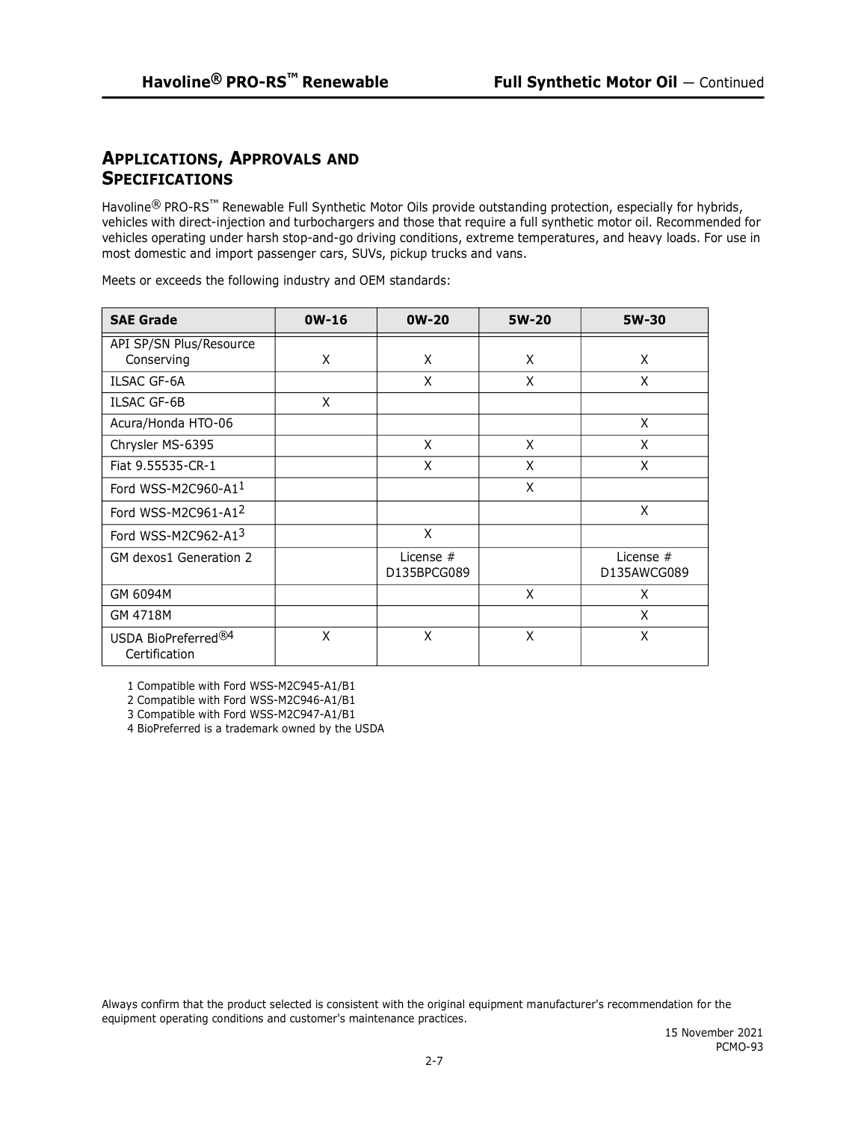## **APPLICATIONS, APPROVALS AND SPECIFICATIONS**

Havoline<sup>®</sup> PRO-RS<sup>™</sup> Renewable Full Synthetic Motor Oils provide outstanding protection, especially for hybrids, vehicles with direct-injection and turbochargers and those that require a full synthetic motor oil. Recommended for vehicles operating under harsh stop-and-go driving conditions, extreme temperatures, and heavy loads. For use in most domestic and import passenger cars, SUVs, pickup trucks and vans.

| <b>SAE Grade</b>                                 | $OW-16$ | $OW-20$                    | 5W-20 | 5W-30                      |
|--------------------------------------------------|---------|----------------------------|-------|----------------------------|
| API SP/SN Plus/Resource<br>Conserving            | X       | X                          | X     | X                          |
| <b>ILSAC GF-6A</b>                               |         | X                          | X     | X                          |
| <b>ILSAC GF-6B</b>                               | X       |                            |       |                            |
| Acura/Honda HTO-06                               |         |                            |       | X                          |
| Chrysler MS-6395                                 |         | X                          | X     | X                          |
| Fiat 9.55535-CR-1                                |         | X                          | X     | X                          |
| Ford WSS-M2C960-A11                              |         |                            | X     |                            |
| Ford WSS-M2C961-A12                              |         |                            |       | X                          |
| Ford WSS-M2C962-A13                              |         | X                          |       |                            |
| GM dexos1 Generation 2                           |         | License $#$<br>D135BPCG089 |       | License $#$<br>D135AWCG089 |
| GM 6094M                                         |         |                            | X     | X                          |
| GM 4718M                                         |         |                            |       | X                          |
| USDA BioPreferred <sup>®4</sup><br>Certification | X       | X                          | X     | X                          |

Meets or exceeds the following industry and OEM standards:

1 Compatible with Ford WSS-M2C945-A1/B1

2 Compatible with Ford WSS-M2C946-A1/B1

3 Compatible with Ford WSS-M2C947-A1/B1

4 BioPreferred is a trademark owned by the USDA

Always confirm that the product selected is consistent with the original equipment manufacturer's recommendation for the equipment operating conditions and customer's maintenance practices.